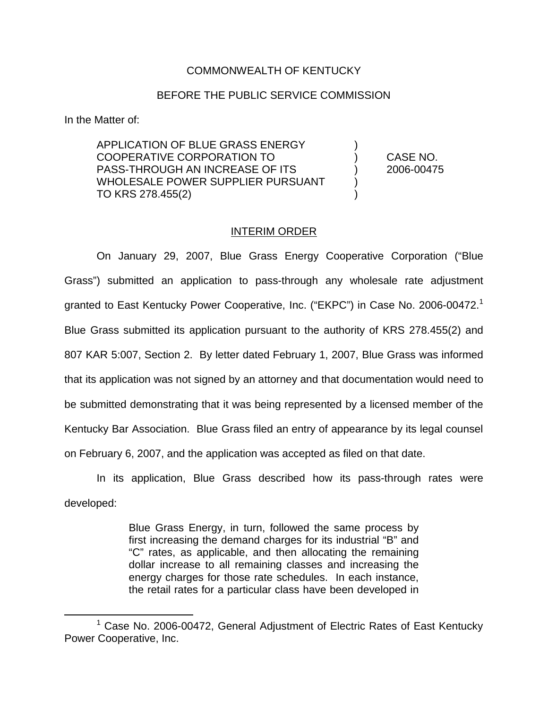## COMMONWEALTH OF KENTUCKY

## BEFORE THE PUBLIC SERVICE COMMISSION

In the Matter of:

APPLICATION OF BLUE GRASS ENERGY ) COOPERATIVE CORPORATION TO ) CASE NO. PASS-THROUGH AN INCREASE OF ITS ) 2006-00475 WHOLESALE POWER SUPPLIER PURSUANT ) TO KRS 278.455(2)

## INTERIM ORDER

On January 29, 2007, Blue Grass Energy Cooperative Corporation ("Blue Grass") submitted an application to pass-through any wholesale rate adjustment granted to East Kentucky Power Cooperative, Inc. ("EKPC") in Case No. 2006-00472.<sup>1</sup> Blue Grass submitted its application pursuant to the authority of KRS 278.455(2) and 807 KAR 5:007, Section 2. By letter dated February 1, 2007, Blue Grass was informed that its application was not signed by an attorney and that documentation would need to be submitted demonstrating that it was being represented by a licensed member of the Kentucky Bar Association. Blue Grass filed an entry of appearance by its legal counsel on February 6, 2007, and the application was accepted as filed on that date.

In its application, Blue Grass described how its pass-through rates were developed:

> Blue Grass Energy, in turn, followed the same process by first increasing the demand charges for its industrial "B" and "C" rates, as applicable, and then allocating the remaining dollar increase to all remaining classes and increasing the energy charges for those rate schedules. In each instance, the retail rates for a particular class have been developed in

 $1$  Case No. 2006-00472, General Adjustment of Electric Rates of East Kentucky Power Cooperative, Inc.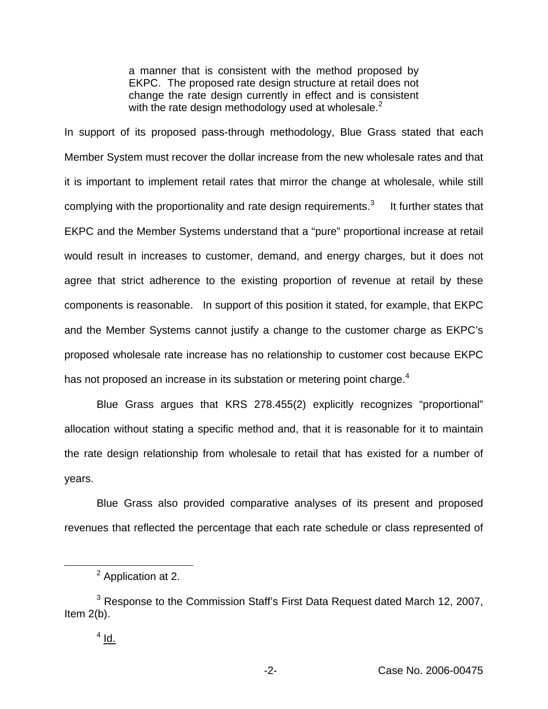a manner that is consistent with the method proposed by EKPC. The proposed rate design structure at retail does not change the rate design currently in effect and is consistent with the rate design methodology used at wholesale. $<sup>2</sup>$ </sup>

In support of its proposed pass-through methodology, Blue Grass stated that each Member System must recover the dollar increase from the new wholesale rates and that it is important to implement retail rates that mirror the change at wholesale, while still complying with the proportionality and rate design requirements. $3$  It further states that EKPC and the Member Systems understand that a "pure" proportional increase at retail would result in increases to customer, demand, and energy charges, but it does not agree that strict adherence to the existing proportion of revenue at retail by these components is reasonable. In support of this position it stated, for example, that EKPC and the Member Systems cannot justify a change to the customer charge as EKPC's proposed wholesale rate increase has no relationship to customer cost because EKPC has not proposed an increase in its substation or metering point charge.<sup>4</sup>

Blue Grass argues that KRS 278.455(2) explicitly recognizes "proportional" allocation without stating a specific method and, that it is reasonable for it to maintain the rate design relationship from wholesale to retail that has existed for a number of years.

Blue Grass also provided comparative analyses of its present and proposed revenues that reflected the percentage that each rate schedule or class represented of

<sup>&</sup>lt;sup>2</sup> Application at 2.

<sup>&</sup>lt;sup>3</sup> Response to the Commission Staff's First Data Request dated March 12, 2007, Item 2(b).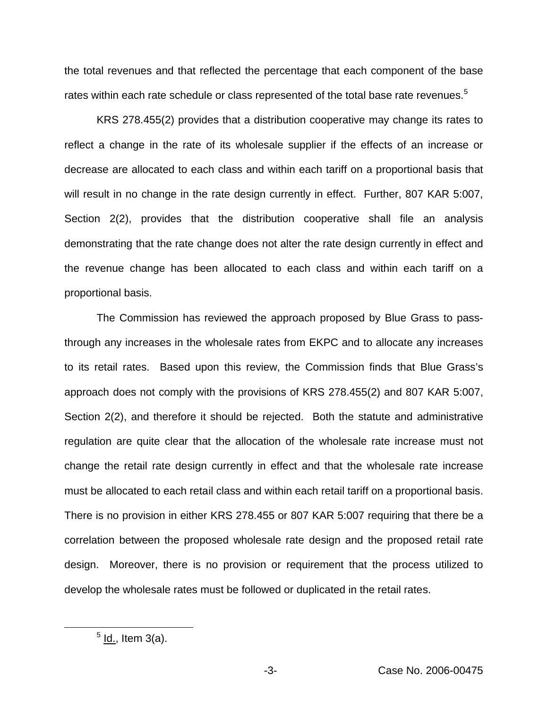the total revenues and that reflected the percentage that each component of the base rates within each rate schedule or class represented of the total base rate revenues.<sup>5</sup>

KRS 278.455(2) provides that a distribution cooperative may change its rates to reflect a change in the rate of its wholesale supplier if the effects of an increase or decrease are allocated to each class and within each tariff on a proportional basis that will result in no change in the rate design currently in effect. Further, 807 KAR 5:007, Section 2(2), provides that the distribution cooperative shall file an analysis demonstrating that the rate change does not alter the rate design currently in effect and the revenue change has been allocated to each class and within each tariff on a proportional basis.

The Commission has reviewed the approach proposed by Blue Grass to passthrough any increases in the wholesale rates from EKPC and to allocate any increases to its retail rates. Based upon this review, the Commission finds that Blue Grass's approach does not comply with the provisions of KRS 278.455(2) and 807 KAR 5:007, Section 2(2), and therefore it should be rejected. Both the statute and administrative regulation are quite clear that the allocation of the wholesale rate increase must not change the retail rate design currently in effect and that the wholesale rate increase must be allocated to each retail class and within each retail tariff on a proportional basis. There is no provision in either KRS 278.455 or 807 KAR 5:007 requiring that there be a correlation between the proposed wholesale rate design and the proposed retail rate design. Moreover, there is no provision or requirement that the process utilized to develop the wholesale rates must be followed or duplicated in the retail rates.

 $<sup>5</sup>$  ld., Item 3(a).</sup>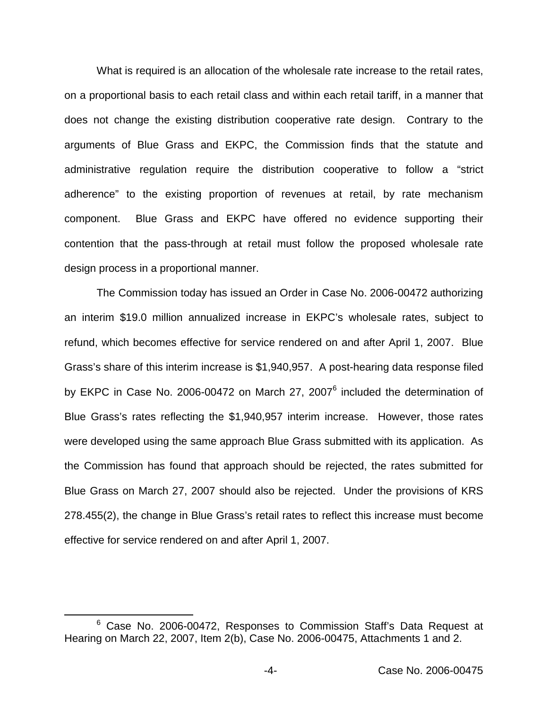What is required is an allocation of the wholesale rate increase to the retail rates, on a proportional basis to each retail class and within each retail tariff, in a manner that does not change the existing distribution cooperative rate design. Contrary to the arguments of Blue Grass and EKPC, the Commission finds that the statute and administrative regulation require the distribution cooperative to follow a "strict adherence" to the existing proportion of revenues at retail, by rate mechanism component. Blue Grass and EKPC have offered no evidence supporting their contention that the pass-through at retail must follow the proposed wholesale rate design process in a proportional manner.

The Commission today has issued an Order in Case No. 2006-00472 authorizing an interim \$19.0 million annualized increase in EKPC's wholesale rates, subject to refund, which becomes effective for service rendered on and after April 1, 2007. Blue Grass's share of this interim increase is \$1,940,957. A post-hearing data response filed by EKPC in Case No. 2006-00472 on March 27, 2007<sup>6</sup> included the determination of Blue Grass's rates reflecting the \$1,940,957 interim increase. However, those rates were developed using the same approach Blue Grass submitted with its application. As the Commission has found that approach should be rejected, the rates submitted for Blue Grass on March 27, 2007 should also be rejected. Under the provisions of KRS 278.455(2), the change in Blue Grass's retail rates to reflect this increase must become effective for service rendered on and after April 1, 2007.

<sup>&</sup>lt;sup>6</sup> Case No. 2006-00472, Responses to Commission Staff's Data Request at Hearing on March 22, 2007, Item 2(b), Case No. 2006-00475, Attachments 1 and 2.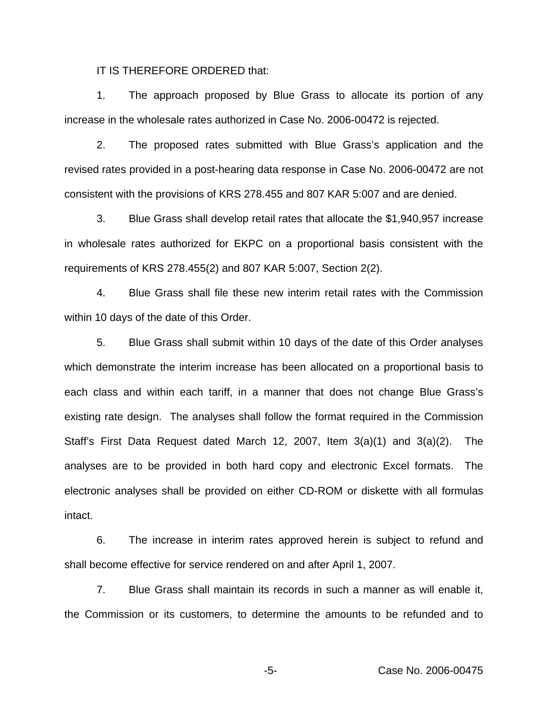IT IS THEREFORE ORDERED that:

1. The approach proposed by Blue Grass to allocate its portion of any increase in the wholesale rates authorized in Case No. 2006-00472 is rejected.

2. The proposed rates submitted with Blue Grass's application and the revised rates provided in a post-hearing data response in Case No. 2006-00472 are not consistent with the provisions of KRS 278.455 and 807 KAR 5:007 and are denied.

3. Blue Grass shall develop retail rates that allocate the \$1,940,957 increase in wholesale rates authorized for EKPC on a proportional basis consistent with the requirements of KRS 278.455(2) and 807 KAR 5:007, Section 2(2).

4. Blue Grass shall file these new interim retail rates with the Commission within 10 days of the date of this Order.

5. Blue Grass shall submit within 10 days of the date of this Order analyses which demonstrate the interim increase has been allocated on a proportional basis to each class and within each tariff, in a manner that does not change Blue Grass's existing rate design. The analyses shall follow the format required in the Commission Staff's First Data Request dated March 12, 2007, Item 3(a)(1) and 3(a)(2). The analyses are to be provided in both hard copy and electronic Excel formats. The electronic analyses shall be provided on either CD-ROM or diskette with all formulas intact.

6. The increase in interim rates approved herein is subject to refund and shall become effective for service rendered on and after April 1, 2007.

7. Blue Grass shall maintain its records in such a manner as will enable it, the Commission or its customers, to determine the amounts to be refunded and to